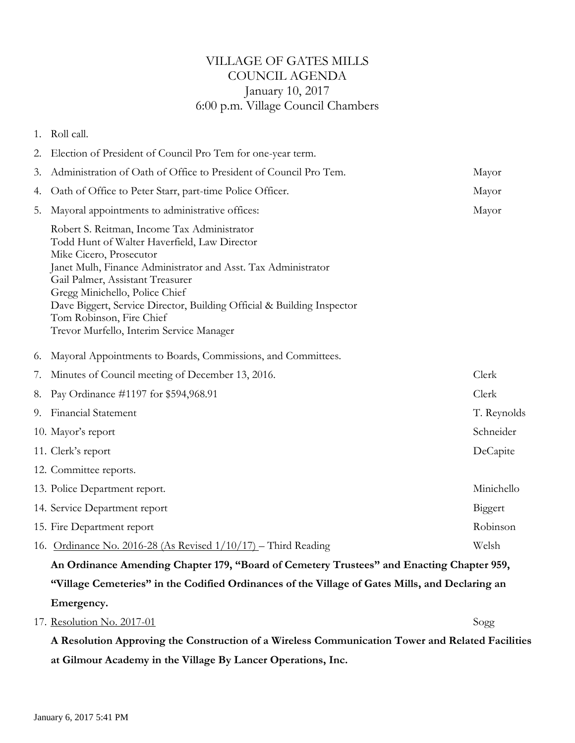## VILLAGE OF GATES MILLS COUNCIL AGENDA January 10, 2017 6:00 p.m. Village Council Chambers

|    | 1. Roll call.                                                                                                                                                                                                                                                                                                                                                                                                   |             |  |
|----|-----------------------------------------------------------------------------------------------------------------------------------------------------------------------------------------------------------------------------------------------------------------------------------------------------------------------------------------------------------------------------------------------------------------|-------------|--|
| 2. | Election of President of Council Pro Tem for one-year term.                                                                                                                                                                                                                                                                                                                                                     |             |  |
| 3. | Administration of Oath of Office to President of Council Pro Tem.                                                                                                                                                                                                                                                                                                                                               | Mayor       |  |
| 4. | Oath of Office to Peter Starr, part-time Police Officer.                                                                                                                                                                                                                                                                                                                                                        | Mayor       |  |
| 5. | Mayoral appointments to administrative offices:                                                                                                                                                                                                                                                                                                                                                                 | Mayor       |  |
|    | Robert S. Reitman, Income Tax Administrator<br>Todd Hunt of Walter Haverfield, Law Director<br>Mike Cicero, Prosecutor<br>Janet Mulh, Finance Administrator and Asst. Tax Administrator<br>Gail Palmer, Assistant Treasurer<br>Gregg Minichello, Police Chief<br>Dave Biggert, Service Director, Building Official & Building Inspector<br>Tom Robinson, Fire Chief<br>Trevor Murfello, Interim Service Manager |             |  |
| 6. | Mayoral Appointments to Boards, Commissions, and Committees.                                                                                                                                                                                                                                                                                                                                                    |             |  |
| 7. | Minutes of Council meeting of December 13, 2016.                                                                                                                                                                                                                                                                                                                                                                | Clerk       |  |
| 8. | Pay Ordinance #1197 for \$594,968.91                                                                                                                                                                                                                                                                                                                                                                            | Clerk       |  |
|    | 9. Financial Statement                                                                                                                                                                                                                                                                                                                                                                                          | T. Reynolds |  |
|    | 10. Mayor's report                                                                                                                                                                                                                                                                                                                                                                                              | Schneider   |  |
|    | 11. Clerk's report                                                                                                                                                                                                                                                                                                                                                                                              | DeCapite    |  |
|    | 12. Committee reports.                                                                                                                                                                                                                                                                                                                                                                                          |             |  |
|    | 13. Police Department report.                                                                                                                                                                                                                                                                                                                                                                                   | Minichello  |  |
|    | 14. Service Department report                                                                                                                                                                                                                                                                                                                                                                                   | Biggert     |  |
|    | 15. Fire Department report                                                                                                                                                                                                                                                                                                                                                                                      | Robinson    |  |
|    | 16. Ordinance No. 2016-28 (As Revised 1/10/17) – Third Reading                                                                                                                                                                                                                                                                                                                                                  | Welsh       |  |
|    | An Ordinance Amending Chapter 179, "Board of Cemetery Trustees" and Enacting Chapter 959,                                                                                                                                                                                                                                                                                                                       |             |  |
|    | "Village Cemeteries" in the Codified Ordinances of the Village of Gates Mills, and Declaring an                                                                                                                                                                                                                                                                                                                 |             |  |
|    | Emergency.                                                                                                                                                                                                                                                                                                                                                                                                      |             |  |

**A Resolution Approving the Construction of a Wireless Communication Tower and Related Facilities at Gilmour Academy in the Village By Lancer Operations, Inc.**

17. Resolution No. 2017-01 Sogg